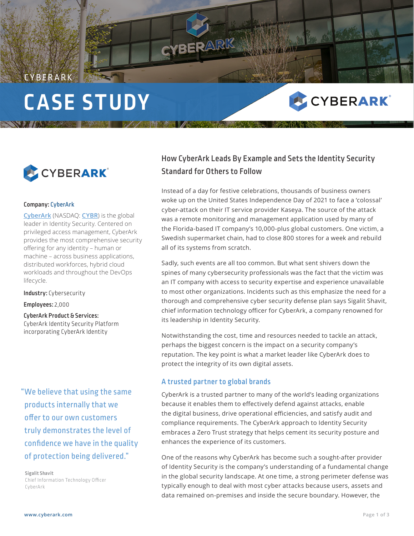# **CASE STUDY**



#### Company: CyberArk

CYBERARK

**CyberArk** (NASDAQ: **CYBR**) is the global leader in Identity Security. Centered on privileged access management, CyberArk provides the most comprehensive security offering for any identity – human or machine – across business applications, distributed workforces, hybrid cloud workloads and throughout the DevOps lifecycle.

Industry: Cybersecurity

Employees: 2,000

### CyberArk Product & Services:

CyberArk Identity Security Platform incorporating CyberArk Identity

## "We believe that using the same products internally that we offer to our own customers truly demonstrates the level of confidence we have in the quality of protection being delivered."

**Sigalit Shavit** Chief Information Technology Officer CyberArk

## How CyberArk Leads By Example and Sets the Identity Security Standard for Others to Follow

**SEENANT** 

CYBERARK®

Instead of a day for festive celebrations, thousands of business owners woke up on the United States Independence Day of 2021 to face a 'colossal' cyber-attack on their IT service provider Kaseya. The source of the attack was a remote monitoring and management application used by many of the Florida-based IT company's 10,000-plus global customers. One victim, a Swedish supermarket chain, had to close 800 stores for a week and rebuild all of its systems from scratch.

Sadly, such events are all too common. But what sent shivers down the spines of many cybersecurity professionals was the fact that the victim was an IT company with access to security expertise and experience unavailable to most other organizations. Incidents such as this emphasize the need for a thorough and comprehensive cyber security defense plan says Sigalit Shavit, chief information technology officer for CyberArk, a company renowned for its leadership in Identity Security.

Notwithstanding the cost, time and resources needed to tackle an attack, perhaps the biggest concern is the impact on a security company's reputation. The key point is what a market leader like CyberArk does to protect the integrity of its own digital assets.

#### A trusted partner to global brands

CYBERARK

CyberArk is a trusted partner to many of the world's leading organizations because it enables them to effectively defend against attacks, enable the digital business, drive operational efficiencies, and satisfy audit and compliance requirements. The CyberArk approach to Identity Security embraces a Zero Trust strategy that helps cement its security posture and enhances the experience of its customers.

One of the reasons why CyberArk has become such a sought-after provider of Identity Security is the company's understanding of a fundamental change in the global security landscape. At one time, a strong perimeter defense was typically enough to deal with most cyber attacks because users, assets and data remained on-premises and inside the secure boundary. However, the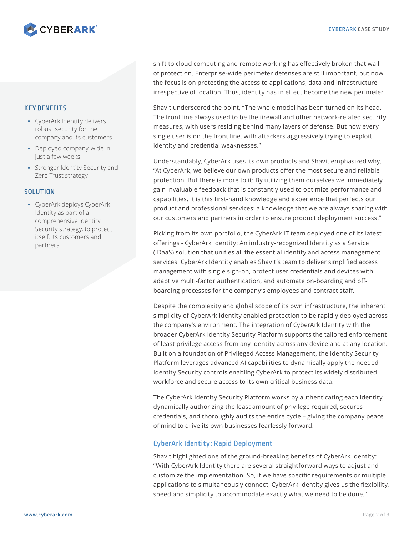

#### KEY BENEFITS

- CyberArk Identity delivers robust security for the company and its customers
- Deployed company-wide in just a few weeks
- **Stronger Identity Security and** Zero Trust strategy

#### **SOLUTION**

 CyberArk deploys CyberArk Identity as part of a comprehensive Identity Security strategy, to protect itself, its customers and partners

shift to cloud computing and remote working has effectively broken that wall of protection. Enterprise-wide perimeter defenses are still important, but now the focus is on protecting the access to applications, data and infrastructure irrespective of location. Thus, identity has in effect become the new perimeter.

Shavit underscored the point, "The whole model has been turned on its head. The front line always used to be the firewall and other network-related security measures, with users residing behind many layers of defense. But now every single user is on the front line, with attackers aggressively trying to exploit identity and credential weaknesses."

Understandably, CyberArk uses its own products and Shavit emphasized why, "At CyberArk, we believe our own products offer the most secure and reliable protection. But there is more to it: By utilizing them ourselves we immediately gain invaluable feedback that is constantly used to optimize performance and capabilities. It is this first-hand knowledge and experience that perfects our product and professional services: a knowledge that we are always sharing with our customers and partners in order to ensure product deployment success."

Picking from its own portfolio, the CyberArk IT team deployed one of its latest offerings - CyberArk Identity: An industry-recognized Identity as a Service (IDaaS) solution that unifies all the essential identity and access management services. CyberArk Identity enables Shavit's team to deliver simplified access management with single sign-on, protect user credentials and devices with adaptive multi-factor authentication, and automate on-boarding and offboarding processes for the company's employees and contract staff.

Despite the complexity and global scope of its own infrastructure, the inherent simplicity of CyberArk Identity enabled protection to be rapidly deployed across the company's environment. The integration of CyberArk Identity with the broader CyberArk Identity Security Platform supports the tailored enforcement of least privilege access from any identity across any device and at any location. Built on a foundation of Privileged Access Management, the Identity Security Platform leverages advanced AI capabilities to dynamically apply the needed Identity Security controls enabling CyberArk to protect its widely distributed workforce and secure access to its own critical business data.

The CyberArk Identity Security Platform works by authenticating each identity, dynamically authorizing the least amount of privilege required, secures credentials, and thoroughly audits the entire cycle – giving the company peace of mind to drive its own businesses fearlessly forward.

### CyberArk Identity: Rapid Deployment

Shavit highlighted one of the ground-breaking benefits of CyberArk Identity: "With CyberArk Identity there are several straightforward ways to adjust and customize the implementation. So, if we have specific requirements or multiple applications to simultaneously connect, CyberArk Identity gives us the flexibility, speed and simplicity to accommodate exactly what we need to be done."